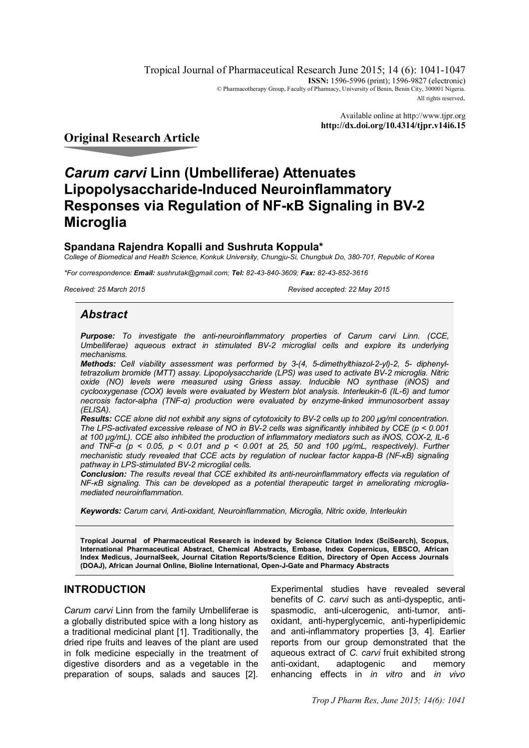Tropical Journal of Pharmaceutical Research June 2015; 14 (6): 1041-1047 **ISSN:** 1596-5996 (print); 1596-9827 (electronic) © Pharmacotherapy Group, Faculty of Pharmacy, University of Benin, Benin City, 300001 Nigeria. All rights reserved.

> Available online at http://www.tjpr.org **http://dx.doi.org/10.4314/tjpr.v14i6.15**

## **Original Research Article**

# *Carum carvi* **Linn (Umbelliferae) Attenuates Lipopolysaccharide-Induced Neuroinflammatory Responses via Regulation of NF-κB Signaling in BV-2 Microglia**

### **Spandana Rajendra Kopalli and Sushruta Koppula\***

*College of Biomedical and Health Science, Konkuk University, Chungju-Si, Chungbuk Do, 380-701, Republic of Korea*

*\*For correspondence: Email: sushrutak@gmail.com; Tel: 82-43-840-3609; Fax: 82-43-852-3616*

*Received: 25 March 2015 Revised accepted: 22 May 2015*

### *Abstract*

*Purpose: To investigate the anti-neuroinflammatory properties of Carum carvi Linn. (CCE, Umbelliferae) aqueous extract in stimulated BV-2 microglial cells and explore its underlying mechanisms.* 

*Methods: Cell viability assessment was performed by 3-(4, 5-dimethylthiazol-2-yl)-2, 5- diphenyltetrazolium bromide (MTT) assay. Lipopolysaccharide (LPS) was used to activate BV-2 microglia. Nitric oxide (NO) levels were measured using Griess assay. Inducible NO synthase (iNOS) and cyclooxygenase (COX) levels were evaluated by Western blot analysis. Interleukin-6 (IL-6) and tumor necrosis factor-alpha (TNF-α) production were evaluated by enzyme-linked immunosorbent assay (ELISA).* 

*Results: CCE alone did not exhibit any signs of cytotoxicity to BV-2 cells up to 200 µg/ml concentration. The LPS-activated excessive release of NO in BV-2 cells was significantly inhibited by CCE (p < 0.001 at 100 μg/mL). CCE also inhibited the production of inflammatory mediators such as iNOS, COX-2, IL-6 and TNF-α (p < 0.05, p < 0.01 and p < 0.001 at 25, 50 and 100 μg/mL, respectively). Further mechanistic study revealed that CCE acts by regulation of nuclear factor kappa-B (NF-κB) signaling pathway in LPS-stimulated BV-2 microglial cells.* 

*Conclusion: The results reveal that CCE exhibited its anti-neuroinflammatory effects via regulation of NF-<sub>K</sub>B* signaling. This can be developed as a potential therapeutic target in ameliorating microglia*mediated neuroinflammation.*

*Keywords: Carum carvi, Anti-oxidant, Neuroinflammation, Microglia, Nitric oxide, Interleukin*

**Tropical Journal of Pharmaceutical Research is indexed by Science Citation Index (SciSearch), Scopus, International Pharmaceutical Abstract, Chemical Abstracts, Embase, Index Copernicus, EBSCO, African Index Medicus, JournalSeek, Journal Citation Reports/Science Edition, Directory of Open Access Journals (DOAJ), African Journal Online, Bioline International, Open-J-Gate and Pharmacy Abstracts**

### **INTRODUCTION**

*Carum carvi* Linn from the family Umbelliferae is a globally distributed spice with a long history as a traditional medicinal plant [1]. Traditionally, the dried ripe fruits and leaves of the plant are used in folk medicine especially in the treatment of digestive disorders and as a vegetable in the preparation of soups, salads and sauces [2]. Experimental studies have revealed several benefits of *C. carvi* such as anti-dyspeptic, antispasmodic, anti-ulcerogenic, anti-tumor, antioxidant, anti-hyperglycemic, anti-hyperlipidemic and anti-inflammatory properties [3, 4]. Earlier reports from our group demonstrated that the aqueous extract of *C. carvi* fruit exhibited strong anti-oxidant, adaptogenic and memory enhancing effects in *in vitro* and *in vivo*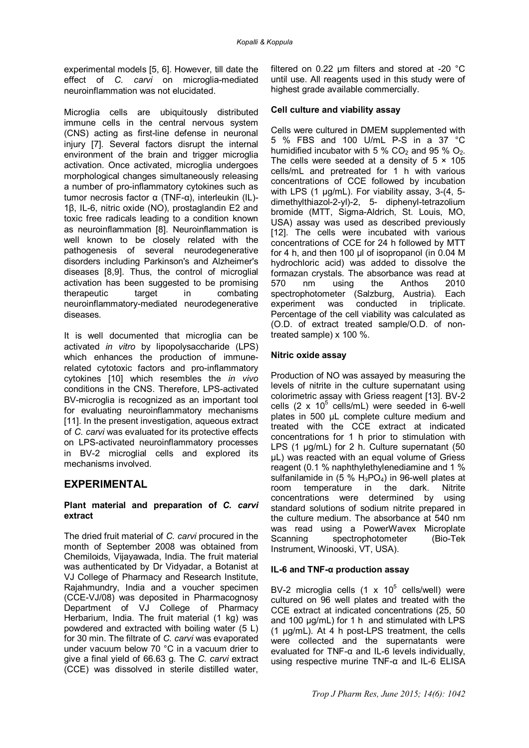experimental models [5, 6]. However, till date the effect of *C. carvi* on microglia-mediated neuroinflammation was not elucidated.

Microglia cells are ubiquitously distributed immune cells in the central nervous system (CNS) acting as first-line defense in neuronal injury [7]. Several factors disrupt the internal environment of the brain and trigger microglia activation. Once activated, microglia undergoes morphological changes simultaneously releasing a number of pro-inflammatory cytokines such as tumor necrosis factor α (TNF-α), interleukin (IL)- 1β, IL-6, nitric oxide (NO), prostaglandin E2 and toxic free radicals leading to a condition known as neuroinflammation [8]. Neuroinflammation is well known to be closely related with the pathogenesis of several neurodegenerative disorders including Parkinson's and Alzheimer's diseases [8,9]. Thus, the control of microglial activation has been suggested to be promising therapeutic target in combating neuroinflammatory-mediated neurodegenerative diseases.

It is well documented that microglia can be activated *in vitro* by lipopolysaccharide (LPS) which enhances the production of immunerelated cytotoxic factors and pro-inflammatory cytokines [10] which resembles the *in vivo* conditions in the CNS. Therefore, LPS-activated BV-microglia is recognized as an important tool for evaluating neuroinflammatory mechanisms [11]. In the present investigation, aqueous extract of *C. carvi* was evaluated for its protective effects on LPS-activated neuroinflammatory processes in BV-2 microglial cells and explored its mechanisms involved.

### **EXPERIMENTAL**

#### **Plant material and preparation of** *C. carvi* **extract**

The dried fruit material of *C. carvi* procured in the month of September 2008 was obtained from Chemiloids, Vijayawada, India. The fruit material was authenticated by Dr Vidyadar, a Botanist at VJ College of Pharmacy and Research Institute, Rajahmundry, India and a voucher specimen (CCE-VJ/08) was deposited in Pharmacognosy Department of VJ College of Pharmacy Herbarium, India. The fruit material (1 kg) was powdered and extracted with boiling water (5 L) for 30 min. The filtrate of *C. carvi* was evaporated under vacuum below 70 °C in a vacuum drier to give a final yield of 66.63 g. The *C. carvi* extract (CCE) was dissolved in sterile distilled water,

filtered on 0.22 µm filters and stored at -20 °C until use. All reagents used in this study were of highest grade available commercially.

### **Cell culture and viability assay**

Cells were cultured in DMEM supplemented with 5 % FBS and 100 U/mL P-S in a 37 °C humidified incubator with 5 %  $CO<sub>2</sub>$  and 95 %  $O<sub>2</sub>$ . The cells were seeded at a density of  $5 \times 105$ cells/mL and pretreated for 1 h with various concentrations of CCE followed by incubation with LPS (1 ug/mL). For viability assay, 3-(4, 5dimethylthiazol-2-yl)-2, 5- diphenyl-tetrazolium bromide (MTT, Sigma-Aldrich, St. Louis, MO, USA) assay was used as described previously [12]. The cells were incubated with various concentrations of CCE for 24 h followed by MTT for 4 h, and then 100 μl of isopropanol (in 0.04 M hydrochloric acid) was added to dissolve the formazan crystals. The absorbance was read at 570 nm using the Anthos 2010 spectrophotometer (Salzburg, Austria). Each experiment was conducted in triplicate. Percentage of the cell viability was calculated as (O.D. of extract treated sample/O.D. of nontreated sample) x 100 %.

### **Nitric oxide assay**

Production of NO was assayed by measuring the levels of nitrite in the culture supernatant using colorimetric assay with Griess reagent [13]. BV-2 cells  $(2 \times 10^5 \text{ cells/mL})$  were seeded in 6-well plates in 500 µL complete culture medium and treated with the CCE extract at indicated concentrations for 1 h prior to stimulation with LPS (1 µg/mL) for 2 h. Culture supernatant (50 µL) was reacted with an equal volume of Griess reagent (0.1 % naphthylethylenediamine and 1 % sulfanilamide in  $(5 % H<sub>3</sub>PO<sub>4</sub>)$  in 96-well plates at room temperature in the dark. Nitrite concentrations were determined by using standard solutions of sodium nitrite prepared in the culture medium. The absorbance at 540 nm was read using a PowerWavex Microplate Scanning spectrophotometer (Bio-Tek Instrument, Winooski, VT, USA).

### **IL-6 and TNF-α production assay**

BV-2 microglia cells  $(1 \times 10^5 \text{ cells/well})$  were cultured on 96 well plates and treated with the CCE extract at indicated concentrations (25, 50 and 100 μg/mL) for 1 h and stimulated with LPS (1 µg/mL). At 4 h post-LPS treatment, the cells were collected and the supernatants were evaluated for TNF-α and IL-6 levels individually, using respective murine TNF-α and IL-6 ELISA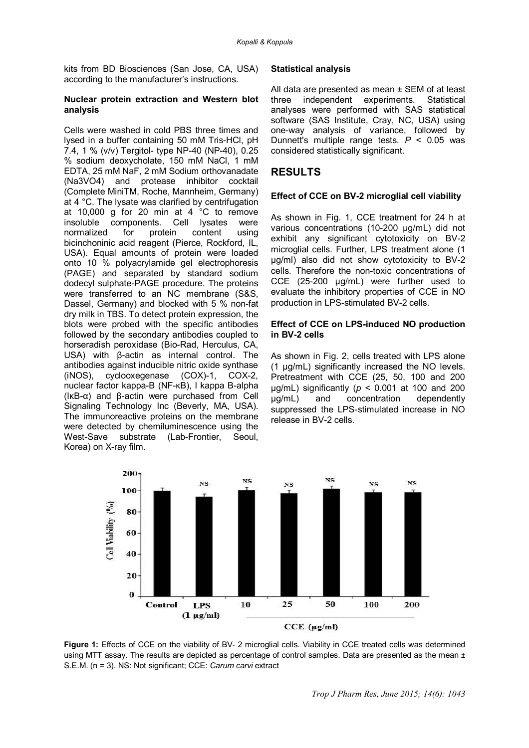kits from BD Biosciences (San Jose, CA, USA) according to the manufacturer's instructions.

#### **Nuclear protein extraction and Western blot analysis**

Cells were washed in cold PBS three times and lysed in a buffer containing 50 mM Tris-HCl, pH 7.4, 1 % (v/v) Tergitol- type NP-40 (NP-40), 0.25 % sodium deoxycholate, 150 mM NaCl, 1 mM EDTA, 25 mM NaF, 2 mM Sodium orthovanadate (Na3VO4) and protease inhibitor cocktail (Complete MiniTM, Roche, Mannheim, Germany) at 4 °C. The lysate was clarified by centrifugation at 10,000 g for 20 min at 4 °C to remove insoluble components. Cell lysates were<br>normalized for protein content using normalized for protein content using bicinchoninic acid reagent (Pierce, Rockford, IL, USA). Equal amounts of protein were loaded onto 10 % polyacrylamide gel electrophoresis (PAGE) and separated by standard sodium dodecyl sulphate-PAGE procedure. The proteins were transferred to an NC membrane (S&S, Dassel, Germany) and blocked with 5 % non-fat dry milk in TBS. To detect protein expression, the blots were probed with the specific antibodies followed by the secondary antibodies coupled to horseradish peroxidase (Bio-Rad, Herculus, CA, USA) with β-actin as internal control. The antibodies against inducible nitric oxide synthase (iNOS), cyclooxegenase (COX)-1, COX-2, nuclear factor kappa-B (NF-κB), I kappa B-alpha (IκB-α) and β-actin were purchased from Cell Signaling Technology Inc (Beverly, MA, USA). The immunoreactive proteins on the membrane were detected by chemiluminescence using the West-Save substrate (Lab-Frontier, Seoul, Korea) on X-ray film.

#### **Statistical analysis**

All data are presented as mean ± SEM of at least three independent experiments. Statistical analyses were performed with SAS statistical software (SAS Institute, Cray, NC, USA) using one-way analysis of variance, followed by Dunnett's multiple range tests. *P* < 0.05 was considered statistically significant.

### **RESULTS**

#### **Effect of CCE on BV-2 microglial cell viability**

As shown in Fig. 1, CCE treatment for 24 h at various concentrations (10-200 µg/mL) did not exhibit any significant cytotoxicity on BV-2 microglial cells. Further, LPS treatment alone (1 μg/ml) also did not show cytotoxicity to BV-2 cells. Therefore the non-toxic concentrations of CCE (25-200 μg/mL) were further used to evaluate the inhibitory properties of CCE in NO production in LPS-stimulated BV-2 cells.

#### **Effect of CCE on LPS-induced NO production in BV-2 cells**

As shown in Fig. 2, cells treated with LPS alone (1 μg/mL) significantly increased the NO levels. Pretreatment with CCE (25, 50, 100 and 200 μg/mL) significantly (*p* < 0.001 at 100 and 200 μg/mL) and concentration dependently suppressed the LPS-stimulated increase in NO release in BV-2 cells.



**Figure 1:** Effects of CCE on the viability of BV- 2 microglial cells. Viability in CCE treated cells was determined using MTT assay. The results are depicted as percentage of control samples. Data are presented as the mean  $\pm$ S.E.M. (n = 3). NS: Not significant; CCE: *Carum carvi* extract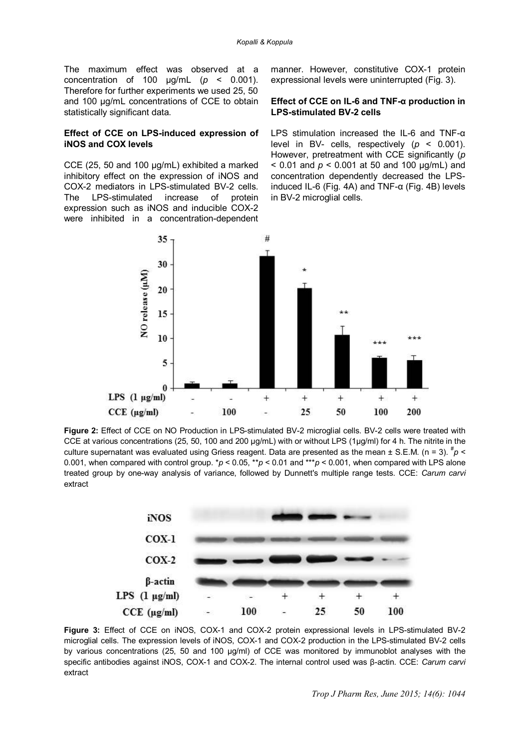The maximum effect was observed at a concentration of 100 μg/mL (*p* < 0.001). Therefore for further experiments we used 25, 50 and 100 μg/mL concentrations of CCE to obtain statistically significant data.

#### **Effect of CCE on LPS-induced expression of iNOS and COX levels**

CCE (25, 50 and 100 µg/mL) exhibited a marked inhibitory effect on the expression of iNOS and COX-2 mediators in LPS-stimulated BV-2 cells. The LPS-stimulated increase of protein expression such as iNOS and inducible COX-2 were inhibited in a concentration-dependent manner. However, constitutive COX-1 protein expressional levels were uninterrupted (Fig. 3).

### **Effect of CCE on IL-6 and TNF-α production in LPS-stimulated BV-2 cells**

LPS stimulation increased the IL-6 and TNF-α level in BV- cells, respectively (*p* < 0.001). However, pretreatment with CCE significantly (*p* < 0.01 and *p* < 0.001 at 50 and 100 μg/mL) and concentration dependently decreased the LPSinduced IL-6 (Fig. 4A) and TNF- $\alpha$  (Fig. 4B) levels in BV-2 microglial cells.



**Figure 2:** Effect of CCE on NO Production in LPS-stimulated BV-2 microglial cells. BV-2 cells were treated with CCE at various concentrations (25, 50, 100 and 200 µg/mL) with or without LPS (1µg/ml) for 4 h. The nitrite in the culture supernatant was evaluated using Griess reagent. Data are presented as the mean ± S.E.M. (n = 3). <sup>#</sup>p < 0.001, when compared with control group. \**p* < 0.05, \*\**p* < 0.01 and \*\*\**p* < 0.001, when compared with LPS alone treated group by one-way analysis of variance, followed by Dunnett's multiple range tests. CCE: *Carum carvi* extract



**Figure 3:** Effect of CCE on iNOS, COX-1 and COX-2 protein expressional levels in LPS-stimulated BV-2 microglial cells. The expression levels of iNOS, COX-1 and COX-2 production in the LPS-stimulated BV-2 cells by various concentrations (25, 50 and 100 µg/ml) of CCE was monitored by immunoblot analyses with the specific antibodies against iNOS, COX-1 and COX-2. The internal control used was β-actin. CCE: *Carum carvi* extract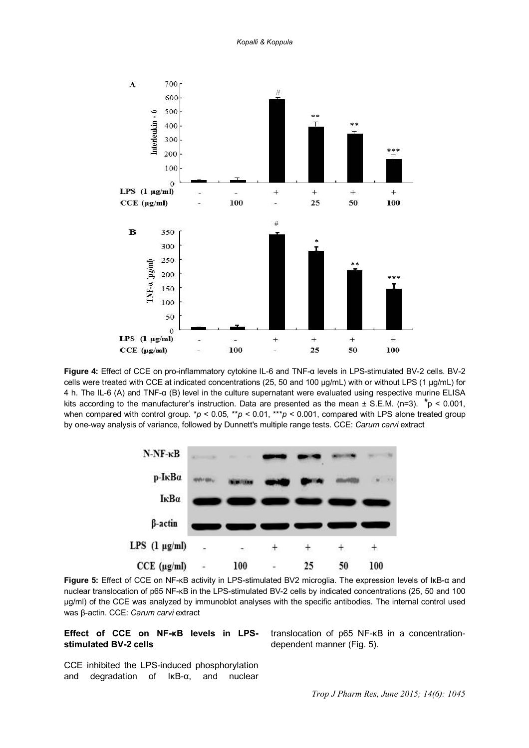

**Figure 4:** Effect of CCE on pro-inflammatory cytokine IL-6 and TNF-α levels in LPS-stimulated BV-2 cells. BV-2 cells were treated with CCE at indicated concentrations (25, 50 and 100 µg/mL) with or without LPS (1 µg/mL) for 4 h. The IL-6 (A) and TNF-α (B) level in the culture supernatant were evaluated using respective murine ELISA kits according to the manufacturer's instruction. Data are presented as the mean  $\pm$  S.E.M. (n=3).  $\frac{p}{p}$  < 0.001, when compared with control group. \*p < 0.05, \*\*p < 0.01, \*\*\*p < 0.001, compared with LPS alone treated group by one-way analysis of variance, followed by Dunnett's multiple range tests. CCE: *Carum carvi* extract



**Figure 5:** Effect of CCE on NF-κB activity in LPS-stimulated BV2 microglia. The expression levels of IκB-α and nuclear translocation of p65 NF-κB in the LPS-stimulated BV-2 cells by indicated concentrations (25, 50 and 100 µg/ml) of the CCE was analyzed by immunoblot analyses with the specific antibodies. The internal control used was β-actin. CCE: *Carum carvi* extract

#### **Effect of CCE on NF-κB levels in LPSstimulated BV-2 cells**

translocation of p65 NF-κB in a concentrationdependent manner (Fig. 5).

CCE inhibited the LPS-induced phosphorylation and degradation of IκB-α, and nuclear

*Trop J Pharm Res, June 2015; 14(6): 1045*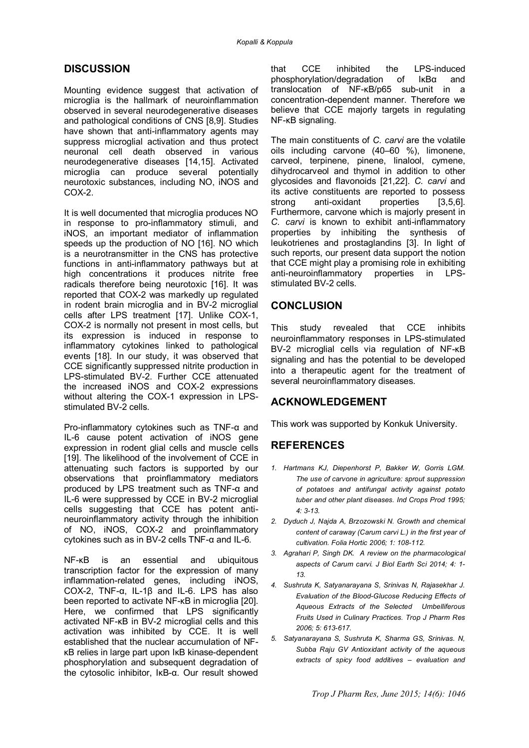### **DISCUSSION**

Mounting evidence suggest that activation of microglia is the hallmark of neuroinflammation observed in several neurodegenerative diseases and pathological conditions of CNS [8,9]. Studies have shown that anti-inflammatory agents may suppress microglial activation and thus protect neuronal cell death observed in various neurodegenerative diseases [14,15]. Activated microglia can produce several potentially neurotoxic substances, including NO, iNOS and COX-2.

It is well documented that microglia produces NO in response to pro-inflammatory stimuli, and iNOS, an important mediator of inflammation speeds up the production of NO [16]. NO which is a neurotransmitter in the CNS has protective functions in anti-inflammatory pathways but at high concentrations it produces nitrite free radicals therefore being neurotoxic [16]. It was reported that COX-2 was markedly up regulated in rodent brain microglia and in BV-2 microglial cells after LPS treatment [17]. Unlike COX-1, COX-2 is normally not present in most cells, but its expression is induced in response to inflammatory cytokines linked to pathological events [18]. In our study, it was observed that CCE significantly suppressed nitrite production in LPS-stimulated BV-2. Further CCE attenuated the increased iNOS and COX-2 expressions without altering the COX-1 expression in LPSstimulated BV-2 cells.

Pro-inflammatory cytokines such as TNF-α and IL-6 cause potent activation of iNOS gene expression in rodent glial cells and muscle cells [19]. The likelihood of the involvement of CCE in attenuating such factors is supported by our observations that proinflammatory mediators produced by LPS treatment such as TNF-α and IL-6 were suppressed by CCE in BV-2 microglial cells suggesting that CCE has potent antineuroinflammatory activity through the inhibition of NO, iNOS, COX-2 and proinflammatory cytokines such as in BV-2 cells TNF-α and IL-6.

NF-κB is an essential and ubiquitous transcription factor for the expression of many inflammation-related genes, including iNOS, COX-2, TNF-α, IL-1β and IL-6. LPS has also been reported to activate NF-KB in microglia [20]. Here, we confirmed that LPS significantly activated NF-κB in BV-2 microglial cells and this activation was inhibited by CCE. It is well established that the nuclear accumulation of NFκB relies in large part upon IκB kinase-dependent phosphorylation and subsequent degradation of the cytosolic inhibitor, IκB-α. Our result showed

that CCE inhibited the LPS-induced phosphorylation/degradation of IκBα and translocation of NF-κB/p65 sub-unit in a concentration-dependent manner. Therefore we believe that CCE majorly targets in regulating NF-κB signaling.

The main constituents of *C. carvi* are the volatile oils including carvone (40–60 %), limonene, carveol, terpinene, pinene, linalool, cymene, dihydrocarveol and thymol in addition to other glycosides and flavonoids [21,22]. *C. carvi* and its active constituents are reported to possess strong anti-oxidant properties [3,5,6]. Furthermore, carvone which is majorly present in *C. carvi* is known to exhibit anti-inflammatory properties by inhibiting the synthesis of leukotrienes and prostaglandins [3]. In light of such reports, our present data support the notion that CCE might play a promising role in exhibiting anti-neuroinflammatory properties in LPSstimulated BV-2 cells.

### **CONCLUSION**

This study revealed that CCE inhibits neuroinflammatory responses in LPS-stimulated BV-2 microglial cells via regulation of NF-κB signaling and has the potential to be developed into a therapeutic agent for the treatment of several neuroinflammatory diseases.

### **ACKNOWLEDGEMENT**

This work was supported by Konkuk University.

# **REFERENCES**

- *1. Hartmans KJ, Diepenhorst P, Bakker W, Gorris LGM. The use of carvone in agriculture: sprout suppression of potatoes and antifungal activity against potato tuber and other plant diseases. Ind Crops Prod 1995; 4: 3-13.*
- *2. Dyduch J, Najda A, Brzozowski N. Growth and chemical content of caraway (Carum carvi L.) in the first year of cultivation. Folia Hortic 2006; 1: 108-112.*
- *3. Agrahari P, Singh DK. A review on the pharmacological aspects of Carum carvi. J Biol Earth Sci 2014; 4: 1- 13.*
- *4. Sushruta K, Satyanarayana S, Srinivas N, Rajasekhar J. Evaluation of the Blood-Glucose Reducing Effects of Aqueous Extracts of the Selected Umbelliferous Fruits Used in Culinary Practices. Trop J Pharm Res 2006; 5: 613-617.*
- *5. Satyanarayana S, Sushruta K, Sharma GS, Srinivas. N, Subba Raju GV Antioxidant activity of the aqueous extracts of spicy food additives – evaluation and*